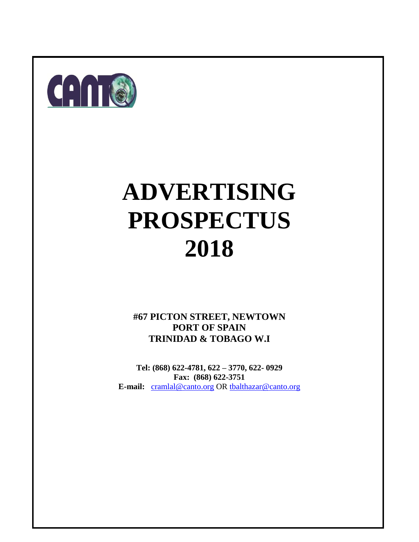

# **ADVERTISING PROSPECTUS 2018**

**#67 PICTON STREET, NEWTOWN PORT OF SPAIN TRINIDAD & TOBAGO W.I**

**Tel: (868) 622-4781, 622 – 3770, 622- 0929 Fax: (868) 622-3751 E-mail:** [cramlal@canto.org](mailto:cramlal@canto.org) OR [tbalthazar@canto.org](mailto:tbalthazar@canto.org)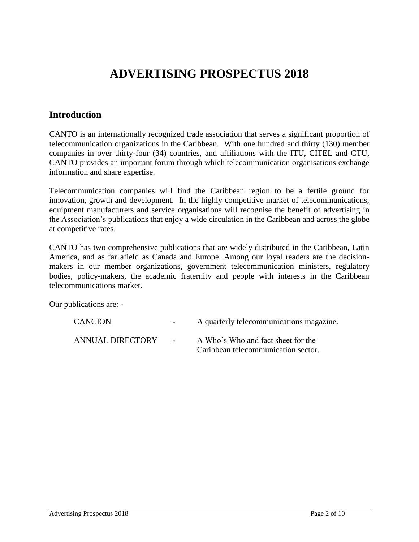# **ADVERTISING PROSPECTUS 2018**

# **Introduction**

CANTO is an internationally recognized trade association that serves a significant proportion of telecommunication organizations in the Caribbean. With one hundred and thirty (130) member companies in over thirty-four (34) countries, and affiliations with the ITU, CITEL and CTU, CANTO provides an important forum through which telecommunication organisations exchange information and share expertise.

Telecommunication companies will find the Caribbean region to be a fertile ground for innovation, growth and development. In the highly competitive market of telecommunications, equipment manufacturers and service organisations will recognise the benefit of advertising in the Association's publications that enjoy a wide circulation in the Caribbean and across the globe at competitive rates.

CANTO has two comprehensive publications that are widely distributed in the Caribbean, Latin America, and as far afield as Canada and Europe. Among our loyal readers are the decisionmakers in our member organizations, government telecommunication ministers, regulatory bodies, policy-makers, the academic fraternity and people with interests in the Caribbean telecommunications market.

Our publications are: -

| <b>CANCION</b>          | $\sim 100$     | A quarterly telecommunications magazine.                                  |
|-------------------------|----------------|---------------------------------------------------------------------------|
| <b>ANNUAL DIRECTORY</b> | $\sim$ 10 $\,$ | A Who's Who and fact sheet for the<br>Caribbean telecommunication sector. |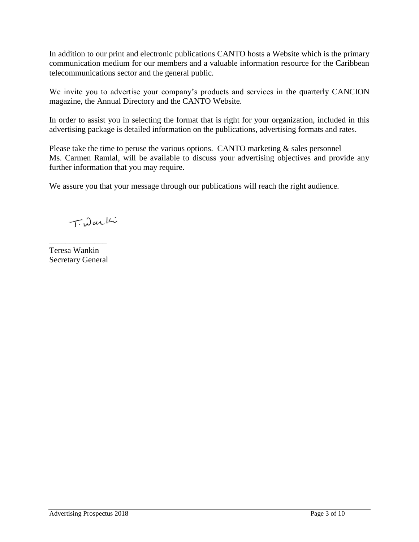In addition to our print and electronic publications CANTO hosts a Website which is the primary communication medium for our members and a valuable information resource for the Caribbean telecommunications sector and the general public.

We invite you to advertise your company's products and services in the quarterly CANCION magazine, the Annual Directory and the CANTO Website.

In order to assist you in selecting the format that is right for your organization, included in this advertising package is detailed information on the publications, advertising formats and rates.

Please take the time to peruse the various options. CANTO marketing  $\&$  sales personnel Ms. Carmen Ramlal, will be available to discuss your advertising objectives and provide any further information that you may require.

We assure you that your message through our publications will reach the right audience.

TiDarki

\_\_\_\_\_\_\_\_\_\_\_\_\_\_ Teresa Wankin Secretary General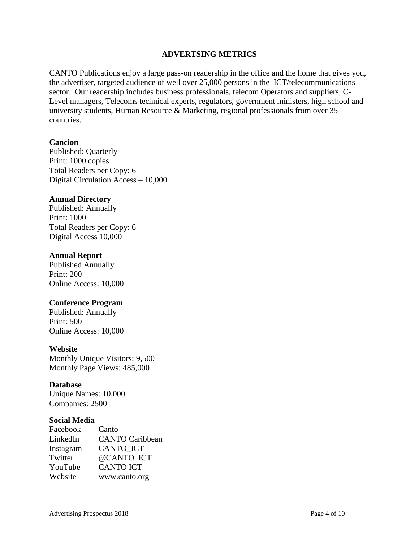# **ADVERTSING METRICS**

CANTO Publications enjoy a large pass-on readership in the office and the home that gives you, the advertiser, targeted audience of well over 25,000 persons in the ICT/telecommunications sector. Our readership includes business professionals, telecom Operators and suppliers, C-Level managers, Telecoms technical experts, regulators, government ministers, high school and university students, Human Resource & Marketing, regional professionals from over 35 countries.

#### **Cancion**

Published: Quarterly Print: 1000 copies Total Readers per Copy: 6 Digital Circulation Access – 10,000

#### **Annual Directory**

Published: Annually Print: 1000 Total Readers per Copy: 6 Digital Access 10,000

#### **Annual Report**

Published Annually Print: 200 Online Access: 10,000

#### **Conference Program**

Published: Annually Print: 500 Online Access: 10,000

#### **Website**

Monthly Unique Visitors: 9,500 Monthly Page Views: 485,000

#### **Database**

Unique Names: 10,000 Companies: 2500

#### **Social Media**

| Facebook  | Canto                  |
|-----------|------------------------|
| LinkedIn  | <b>CANTO Caribbean</b> |
| Instagram | <b>CANTO ICT</b>       |
| Twitter   | @CANTO ICT             |
| YouTube   | <b>CANTO ICT</b>       |
| Website   | www.canto.org          |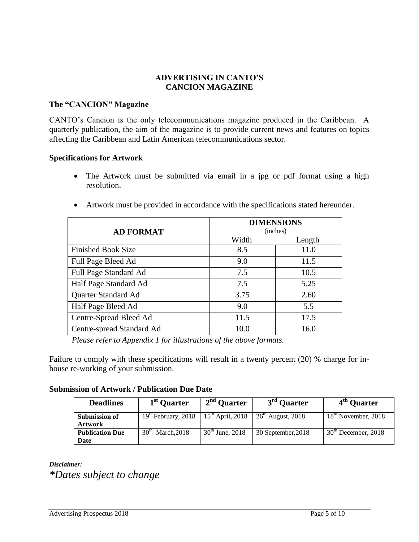## **ADVERTISING IN CANTO'S CANCION MAGAZINE**

#### **The "CANCION" Magazine**

CANTO's Cancion is the only telecommunications magazine produced in the Caribbean. A quarterly publication, the aim of the magazine is to provide current news and features on topics affecting the Caribbean and Latin American telecommunications sector.

#### **Specifications for Artwork**

- The Artwork must be submitted via email in a jpg or pdf format using a high resolution.
- Artwork must be provided in accordance with the specifications stated hereunder.

| <b>AD FORMAT</b>          | <b>DIMENSIONS</b><br>(inches) |        |  |
|---------------------------|-------------------------------|--------|--|
|                           | Width                         | Length |  |
| <b>Finished Book Size</b> | 8.5                           | 11.0   |  |
| Full Page Bleed Ad        | 9.0                           | 11.5   |  |
| Full Page Standard Ad     | 7.5                           | 10.5   |  |
| Half Page Standard Ad     | 7.5                           | 5.25   |  |
| Quarter Standard Ad       | 3.75                          | 2.60   |  |
| Half Page Bleed Ad        | 9.0                           | 5.5    |  |
| Centre-Spread Bleed Ad    | 11.5                          | 17.5   |  |
| Centre-spread Standard Ad | 10.0                          | 16.0   |  |

*Please refer to Appendix 1 for illustrations of the above formats.*

Failure to comply with these specifications will result in a twenty percent (20) % charge for inhouse re-working of your submission.

#### **Submission of Artwork / Publication Due Date**

| <b>Deadlines</b>                | 1 <sup>st</sup> Quarter                | 2 <sup>nd</sup> Quarter     | 3 <sup>rd</sup> Ouarter | 4 <sup>th</sup> Quarter |
|---------------------------------|----------------------------------------|-----------------------------|-------------------------|-------------------------|
| Submission of<br><b>Artwork</b> | $19th$ February, 2018                  | $15th$ April, 2018          | $26th$ August, 2018     | $18th$ November, 2018   |
| <b>Publication Due</b><br>Date  | 30 <sup>th</sup><br><b>March, 2018</b> | $30^{\text{th}}$ June, 2018 | 30 September, 2018      | $30th$ December, 2018   |

*Disclaimer:*

*\*Dates subject to change*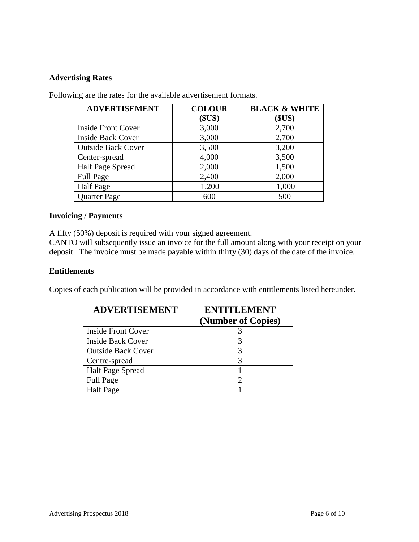# **Advertising Rates**

| <b>ADVERTISEMENT</b>      | <b>COLOUR</b> | <b>BLACK &amp; WHITE</b> |
|---------------------------|---------------|--------------------------|
|                           | \$US)         | \$US)                    |
| <b>Inside Front Cover</b> | 3,000         | 2,700                    |
| <b>Inside Back Cover</b>  | 3,000         | 2,700                    |
| <b>Outside Back Cover</b> | 3,500         | 3,200                    |
| Center-spread             | 4,000         | 3,500                    |
| Half Page Spread          | 2,000         | 1,500                    |
| <b>Full Page</b>          | 2,400         | 2,000                    |
| <b>Half</b> Page          | 1,200         | 1,000                    |
| <b>Quarter Page</b>       | 600           | 500                      |
|                           |               |                          |

Following are the rates for the available advertisement formats.

# **Invoicing / Payments**

A fifty (50%) deposit is required with your signed agreement.

CANTO will subsequently issue an invoice for the full amount along with your receipt on your deposit. The invoice must be made payable within thirty (30) days of the date of the invoice.

#### **Entitlements**

Copies of each publication will be provided in accordance with entitlements listed hereunder.

| <b>ADVERTISEMENT</b>      | <b>ENTITLEMENT</b><br>(Number of Copies) |  |
|---------------------------|------------------------------------------|--|
| <b>Inside Front Cover</b> |                                          |  |
| <b>Inside Back Cover</b>  | 3                                        |  |
| <b>Outside Back Cover</b> | 3                                        |  |
| Centre-spread             | 3                                        |  |
| Half Page Spread          |                                          |  |
| <b>Full Page</b>          | 2                                        |  |
| <b>Half</b> Page          |                                          |  |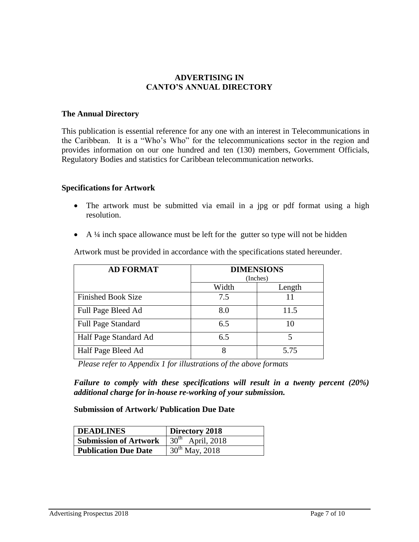#### **ADVERTISING IN CANTO'S ANNUAL DIRECTORY**

#### **The Annual Directory**

This publication is essential reference for any one with an interest in Telecommunications in the Caribbean. It is a "Who's Who" for the telecommunications sector in the region and provides information on our one hundred and ten (130) members, Government Officials, Regulatory Bodies and statistics for Caribbean telecommunication networks.

#### **Specifications for Artwork**

- The artwork must be submitted via email in a jpg or pdf format using a high resolution.
- $\blacklozenge$  A ¼ inch space allowance must be left for the gutter so type will not be hidden

| <b>AD FORMAT</b>          | <b>DIMENSIONS</b><br>(Inches) |        |
|---------------------------|-------------------------------|--------|
|                           | Width                         | Length |
| <b>Finished Book Size</b> | 7.5                           |        |
| Full Page Bleed Ad        | 8.0                           | 11.5   |
| <b>Full Page Standard</b> | 6.5                           | 10     |
| Half Page Standard Ad     | 6.5                           |        |
| Half Page Bleed Ad        | 8                             | 5.75   |

Artwork must be provided in accordance with the specifications stated hereunder.

 *Please refer to Appendix 1 for illustrations of the above formats*

*Failure to comply with these specifications will result in a twenty percent (20%) additional charge for in-house re-working of your submission.*

#### **Submission of Artwork/ Publication Due Date**

| <b>DEADLINES</b>             | Directory 2018                   |  |
|------------------------------|----------------------------------|--|
| <b>Submission of Artwork</b> | $\overline{30^{th}}$ April, 2018 |  |
| <b>Publication Due Date</b>  | $30^{th}$ May, 2018              |  |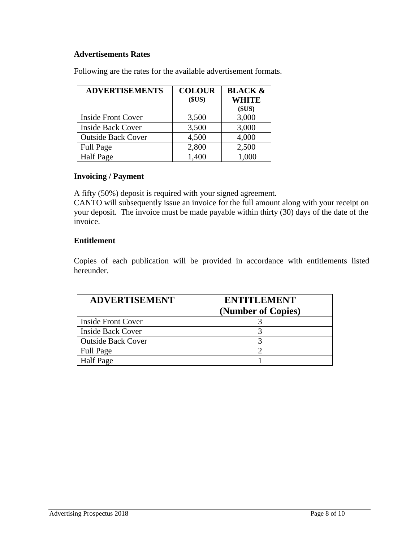# **Advertisements Rates**

Following are the rates for the available advertisement formats.

| <b>ADVERTISEMENTS</b>     | <b>COLOUR</b><br>\$US) | <b>BLACK &amp;</b><br><b>WHITE</b><br>\$US) |
|---------------------------|------------------------|---------------------------------------------|
| <b>Inside Front Cover</b> | 3,500                  | 3,000                                       |
| <b>Inside Back Cover</b>  | 3,500                  | 3,000                                       |
| <b>Outside Back Cover</b> | 4,500                  | 4,000                                       |
| <b>Full Page</b>          | 2,800                  | 2,500                                       |
| <b>Half Page</b>          | 1,400                  | 1,000                                       |

# **Invoicing / Payment**

A fifty (50%) deposit is required with your signed agreement.

CANTO will subsequently issue an invoice for the full amount along with your receipt on your deposit. The invoice must be made payable within thirty (30) days of the date of the invoice.

#### **Entitlement**

Copies of each publication will be provided in accordance with entitlements listed hereunder.

| <b>ADVERTISEMENT</b>      | <b>ENTITLEMENT</b><br>(Number of Copies) |  |
|---------------------------|------------------------------------------|--|
| <b>Inside Front Cover</b> |                                          |  |
| <b>Inside Back Cover</b>  |                                          |  |
| <b>Outside Back Cover</b> |                                          |  |
| <b>Full Page</b>          |                                          |  |
| <b>Half Page</b>          |                                          |  |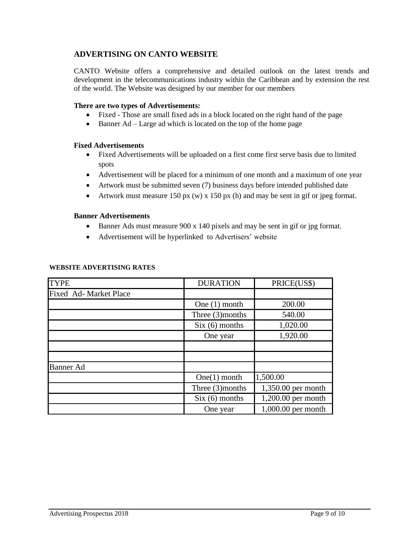# **ADVERTISING ON CANTO WEBSITE**

CANTO Website offers a comprehensive and detailed outlook on the latest trends and development in the telecommunications industry within the Caribbean and by extension the rest of the world. The Website was designed by our member for our members

#### **There are two types of Advertisements:**

- Fixed Those are small fixed ads in a block located on the right hand of the page
- Banner Ad Large ad which is located on the top of the home page

#### **Fixed Advertisements**

- Fixed Advertisements will be uploaded on a first come first serve basis due to limited spots
- Advertisement will be placed for a minimum of one month and a maximum of one year
- Artwork must be submitted seven (7) business days before intended published date
- Artwork must measure 150 px (w) x 150 px (h) and may be sent in gif or jpeg format.

#### **Banner Advertisements**

- Banner Ads must measure 900 x 140 pixels and may be sent in gif or jpg format.
- Advertisement will be hyperlinked to Advertisers' website

| <b>TYPE</b>           | <b>DURATION</b>    | PRICE(US\$)          |
|-----------------------|--------------------|----------------------|
| Fixed Ad-Market Place |                    |                      |
|                       | One $(1)$ month    | 200.00               |
|                       | Three $(3)$ months | 540.00               |
|                       | $Six (6)$ months   | 1,020.00             |
|                       | One year           | 1,920.00             |
|                       |                    |                      |
|                       |                    |                      |
| <b>Banner</b> Ad      |                    |                      |
|                       | One(1) month       | 1,500.00             |
|                       | Three (3)months    | 1,350.00 per month   |
|                       | $Six (6)$ months   | 1,200.00 per month   |
|                       | One year           | $1,000.00$ per month |

#### **WEBSITE ADVERTISING RATES**